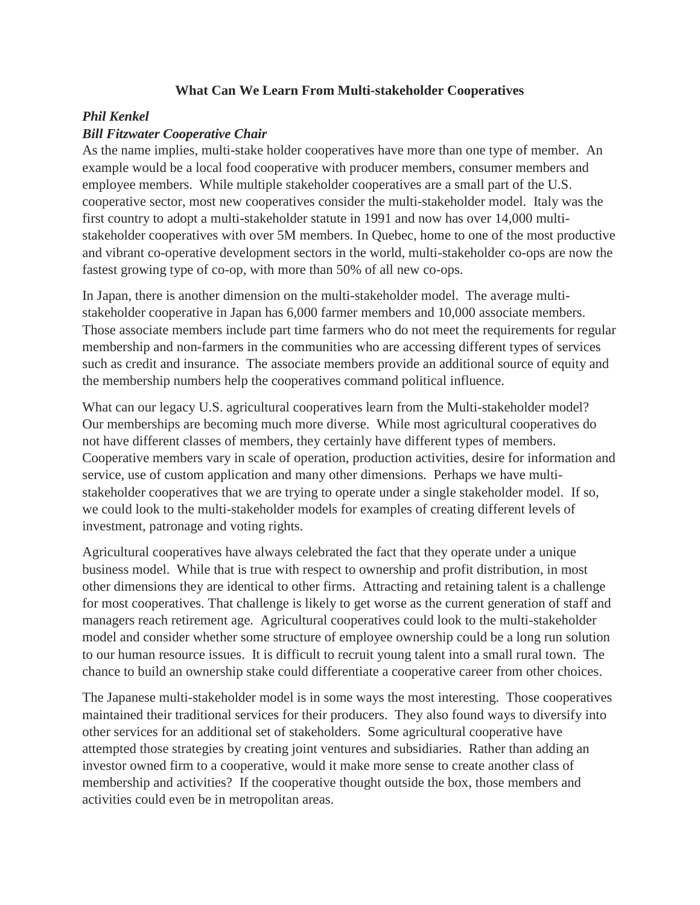## **What Can We Learn From Multi-stakeholder Cooperatives**

## *Phil Kenkel*

## *Bill Fitzwater Cooperative Chair*

As the name implies, multi-stake holder cooperatives have more than one type of member. An example would be a local food cooperative with producer members, consumer members and employee members. While multiple stakeholder cooperatives are a small part of the U.S. cooperative sector, most new cooperatives consider the multi-stakeholder model. Italy was the first country to adopt a multi-stakeholder statute in 1991 and now has over 14,000 multistakeholder cooperatives with over 5M members. In Quebec, home to one of the most productive and vibrant co-operative development sectors in the world, multi-stakeholder co-ops are now the fastest growing type of co-op, with more than 50% of all new co-ops.

In Japan, there is another dimension on the multi-stakeholder model. The average multistakeholder cooperative in Japan has 6,000 farmer members and 10,000 associate members. Those associate members include part time farmers who do not meet the requirements for regular membership and non-farmers in the communities who are accessing different types of services such as credit and insurance. The associate members provide an additional source of equity and the membership numbers help the cooperatives command political influence.

What can our legacy U.S. agricultural cooperatives learn from the Multi-stakeholder model? Our memberships are becoming much more diverse. While most agricultural cooperatives do not have different classes of members, they certainly have different types of members. Cooperative members vary in scale of operation, production activities, desire for information and service, use of custom application and many other dimensions. Perhaps we have multistakeholder cooperatives that we are trying to operate under a single stakeholder model. If so, we could look to the multi-stakeholder models for examples of creating different levels of investment, patronage and voting rights.

Agricultural cooperatives have always celebrated the fact that they operate under a unique business model. While that is true with respect to ownership and profit distribution, in most other dimensions they are identical to other firms. Attracting and retaining talent is a challenge for most cooperatives. That challenge is likely to get worse as the current generation of staff and managers reach retirement age. Agricultural cooperatives could look to the multi-stakeholder model and consider whether some structure of employee ownership could be a long run solution to our human resource issues. It is difficult to recruit young talent into a small rural town. The chance to build an ownership stake could differentiate a cooperative career from other choices.

The Japanese multi-stakeholder model is in some ways the most interesting. Those cooperatives maintained their traditional services for their producers. They also found ways to diversify into other services for an additional set of stakeholders. Some agricultural cooperative have attempted those strategies by creating joint ventures and subsidiaries. Rather than adding an investor owned firm to a cooperative, would it make more sense to create another class of membership and activities? If the cooperative thought outside the box, those members and activities could even be in metropolitan areas.